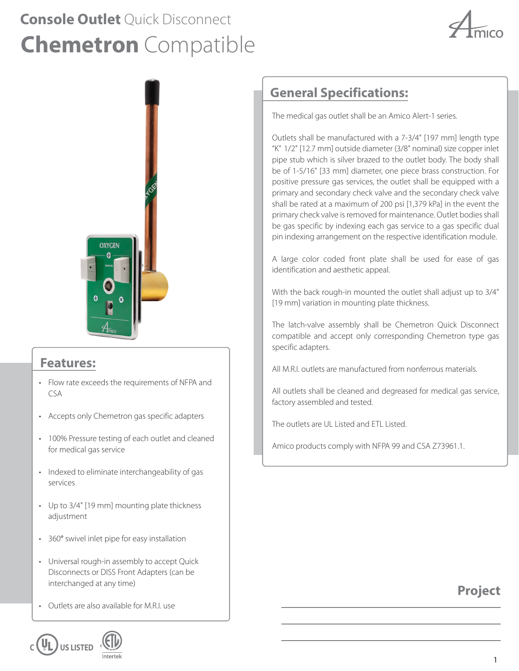# **Chemetron** Compatible **Console Outlet** Quick Disconnect





### **Features:**

- Flow rate exceeds the requirements of NFPA and  $CSA$
- Accepts only Chemetron gas specific adapters
- 100% Pressure testing of each outlet and cleaned for medical gas service
- Indexed to eliminate interchangeability of gas services
- Up to 3/4" [19 mm] mounting plate thickness adjustment
- 360° swivel inlet pipe for easy installation
- Universal rough-in assembly to accept Quick Disconnects or DISS Front Adapters (can be interchanged at any time)
- Outlets are also available for M.R.I. use



## **General Specifications:**

The medical gas outlet shall be an Amico Alert-1 series.

Outlets shall be manufactured with a 7-3/4" [197 mm] length type "K" 1/2" [12.7 mm] outside diameter (3/8" nominal) size copper inlet pipe stub which is silver brazed to the outlet body. The body shall be of 1-5/16" [33 mm] diameter, one piece brass construction. For positive pressure gas services, the outlet shall be equipped with a primary and secondary check valve and the secondary check valve shall be rated at a maximum of 200 psi [1,379 kPa] in the event the primary check valve is removed for maintenance. Outlet bodies shall be gas specific by indexing each gas service to a gas specific dual pin indexing arrangement on the respective identification module.

A large color coded front plate shall be used for ease of gas identification and aesthetic appeal.

With the back rough-in mounted the outlet shall adjust up to 3/4" [19 mm] variation in mounting plate thickness.

The latch-valve assembly shall be Chemetron Quick Disconnect compatible and accept only corresponding Chemetron type gas specific adapters.

All M.R.I. outlets are manufactured from nonferrous materials.

All outlets shall be cleaned and degreased for medical gas service, factory assembled and tested.

The outlets are UL Listed and ETL Listed.

Amico products comply with NFPA 99 and CSA Z73961.1.

### **Project**